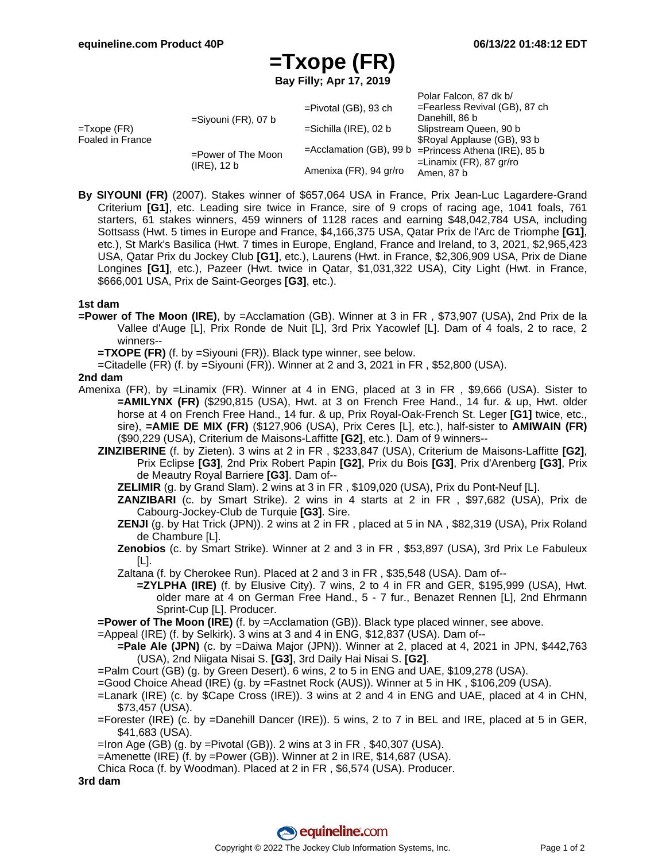Polar Falcon, 87 dk b/

## **=Txope (FR)**

**Bay Filly; Apr 17, 2019**

|                                           |                                      |                            | Pulat Falcon, or uk by           |
|-------------------------------------------|--------------------------------------|----------------------------|----------------------------------|
| $=$ Txope (FR)<br><b>Foaled in France</b> | $=$ Siyouni (FR), 07 b               | $=$ Pivotal (GB), 93 ch    | $=$ Fearless Revival (GB), 87 ch |
|                                           |                                      |                            | Danehill, 86 b                   |
|                                           |                                      | $=$ Sichilla (IRE), 02 b   | Slipstream Queen, 90 b           |
|                                           | =Power of The Moon<br>$(IRE)$ , 12 b |                            | \$Royal Applause (GB), 93 b      |
|                                           |                                      | $=$ Acclamation (GB), 99 b | =Princess Athena (IRE), 85 b     |
|                                           |                                      |                            | =Linamix (FR), 87 gr/ro          |
|                                           |                                      | Amenixa (FR), 94 gr/ro     | Amen, 87 b                       |

**By SIYOUNI (FR)** (2007). Stakes winner of \$657,064 USA in France, Prix Jean-Luc Lagardere-Grand Criterium **[G1]**, etc. Leading sire twice in France, sire of 9 crops of racing age, 1041 foals, 761 starters, 61 stakes winners, 459 winners of 1128 races and earning \$48,042,784 USA, including Sottsass (Hwt. 5 times in Europe and France, \$4,166,375 USA, Qatar Prix de l'Arc de Triomphe **[G1]**, etc.), St Mark's Basilica (Hwt. 7 times in Europe, England, France and Ireland, to 3, 2021, \$2,965,423 USA, Qatar Prix du Jockey Club **[G1]**, etc.), Laurens (Hwt. in France, \$2,306,909 USA, Prix de Diane Longines **[G1]**, etc.), Pazeer (Hwt. twice in Qatar, \$1,031,322 USA), City Light (Hwt. in France, \$666,001 USA, Prix de Saint-Georges **[G3]**, etc.).

## **1st dam**

- **=Power of The Moon (IRE)**, by =Acclamation (GB). Winner at 3 in FR , \$73,907 (USA), 2nd Prix de la Vallee d'Auge [L], Prix Ronde de Nuit [L], 3rd Prix Yacowlef [L]. Dam of 4 foals, 2 to race, 2 winners--
	- **=TXOPE (FR)** (f. by =Siyouni (FR)). Black type winner, see below.
	- =Citadelle (FR) (f. by =Siyouni (FR)). Winner at 2 and 3, 2021 in FR , \$52,800 (USA).

## **2nd dam**

- Amenixa (FR), by =Linamix (FR). Winner at 4 in ENG, placed at 3 in FR , \$9,666 (USA). Sister to **=AMILYNX (FR)** (\$290,815 (USA), Hwt. at 3 on French Free Hand., 14 fur. & up, Hwt. older horse at 4 on French Free Hand., 14 fur. & up, Prix Royal-Oak-French St. Leger **[G1]** twice, etc., sire), **=AMIE DE MIX (FR)** (\$127,906 (USA), Prix Ceres [L], etc.), half-sister to **AMIWAIN (FR)** (\$90,229 (USA), Criterium de Maisons-Laffitte **[G2]**, etc.). Dam of 9 winners--
	- **ZINZIBERINE** (f. by Zieten). 3 wins at 2 in FR , \$233,847 (USA), Criterium de Maisons-Laffitte **[G2]**, Prix Eclipse **[G3]**, 2nd Prix Robert Papin **[G2]**, Prix du Bois **[G3]**, Prix d'Arenberg **[G3]**, Prix de Meautry Royal Barriere **[G3]**. Dam of--
		- **ZELIMIR** (g. by Grand Slam). 2 wins at 3 in FR , \$109,020 (USA), Prix du Pont-Neuf [L].
		- **ZANZIBARI** (c. by Smart Strike). 2 wins in 4 starts at 2 in FR , \$97,682 (USA), Prix de Cabourg-Jockey-Club de Turquie **[G3]**. Sire.
		- **ZENJI** (g. by Hat Trick (JPN)). 2 wins at 2 in FR, placed at 5 in NA, \$82,319 (USA), Prix Roland de Chambure [L].
		- **Zenobios** (c. by Smart Strike). Winner at 2 and 3 in FR , \$53,897 (USA), 3rd Prix Le Fabuleux [L].
		- Zaltana (f. by Cherokee Run). Placed at 2 and 3 in FR , \$35,548 (USA). Dam of--
			- **=ZYLPHA (IRE)** (f. by Elusive City). 7 wins, 2 to 4 in FR and GER, \$195,999 (USA), Hwt. older mare at 4 on German Free Hand., 5 - 7 fur., Benazet Rennen [L], 2nd Ehrmann Sprint-Cup [L]. Producer.

**=Power of The Moon (IRE)** (f. by =Acclamation (GB)). Black type placed winner, see above.

=Appeal (IRE) (f. by Selkirk). 3 wins at 3 and 4 in ENG, \$12,837 (USA). Dam of--

- **=Pale Ale (JPN)** (c. by =Daiwa Major (JPN)). Winner at 2, placed at 4, 2021 in JPN, \$442,763 (USA), 2nd Niigata Nisai S. **[G3]**, 3rd Daily Hai Nisai S. **[G2]**.
- =Palm Court (GB) (g. by Green Desert). 6 wins, 2 to 5 in ENG and UAE, \$109,278 (USA).
- =Good Choice Ahead (IRE) (g. by =Fastnet Rock (AUS)). Winner at 5 in HK , \$106,209 (USA).
- =Lanark (IRE) (c. by \$Cape Cross (IRE)). 3 wins at 2 and 4 in ENG and UAE, placed at 4 in CHN, \$73,457 (USA).
- =Forester (IRE) (c. by =Danehill Dancer (IRE)). 5 wins, 2 to 7 in BEL and IRE, placed at 5 in GER, \$41,683 (USA).
- $=$ Iron Age (GB) (g. by  $=$ Pivotal (GB)). 2 wins at 3 in FR, \$40,307 (USA).
- =Amenette (IRE) (f. by =Power (GB)). Winner at 2 in IRE, \$14,687 (USA).
- Chica Roca (f. by Woodman). Placed at 2 in FR , \$6,574 (USA). Producer.

**3rd dam**